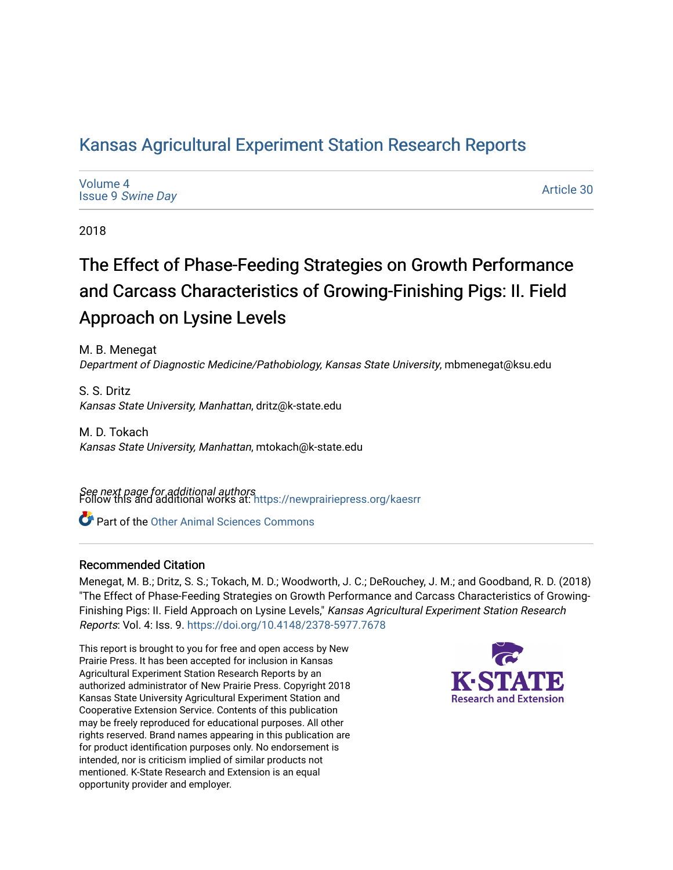# [Kansas Agricultural Experiment Station Research Reports](https://newprairiepress.org/kaesrr)

[Volume 4](https://newprairiepress.org/kaesrr/vol4) Issue 9 [Swine Day](https://newprairiepress.org/kaesrr/vol4/iss9)

[Article 30](https://newprairiepress.org/kaesrr/vol4/iss9/30) 

2018

# The Effect of Phase-Feeding Strategies on Growth Performance and Carcass Characteristics of Growing-Finishing Pigs: II. Field Approach on Lysine Levels

M. B. Menegat Department of Diagnostic Medicine/Pathobiology, Kansas State University, mbmenegat@ksu.edu

S. S. Dritz Kansas State University, Manhattan, dritz@k-state.edu

M. D. Tokach Kansas State University, Manhattan, mtokach@k-state.edu

**See next page for additional authors**<br>Follow this and additional works at: https://newprairiepress.org/kaesrr

Part of the [Other Animal Sciences Commons](http://network.bepress.com/hgg/discipline/82?utm_source=newprairiepress.org%2Fkaesrr%2Fvol4%2Fiss9%2F30&utm_medium=PDF&utm_campaign=PDFCoverPages)

## Recommended Citation

Menegat, M. B.; Dritz, S. S.; Tokach, M. D.; Woodworth, J. C.; DeRouchey, J. M.; and Goodband, R. D. (2018) "The Effect of Phase-Feeding Strategies on Growth Performance and Carcass Characteristics of Growing-Finishing Pigs: II. Field Approach on Lysine Levels," Kansas Agricultural Experiment Station Research Reports: Vol. 4: Iss. 9.<https://doi.org/10.4148/2378-5977.7678>

This report is brought to you for free and open access by New Prairie Press. It has been accepted for inclusion in Kansas Agricultural Experiment Station Research Reports by an authorized administrator of New Prairie Press. Copyright 2018 Kansas State University Agricultural Experiment Station and Cooperative Extension Service. Contents of this publication may be freely reproduced for educational purposes. All other rights reserved. Brand names appearing in this publication are for product identification purposes only. No endorsement is intended, nor is criticism implied of similar products not mentioned. K-State Research and Extension is an equal opportunity provider and employer.

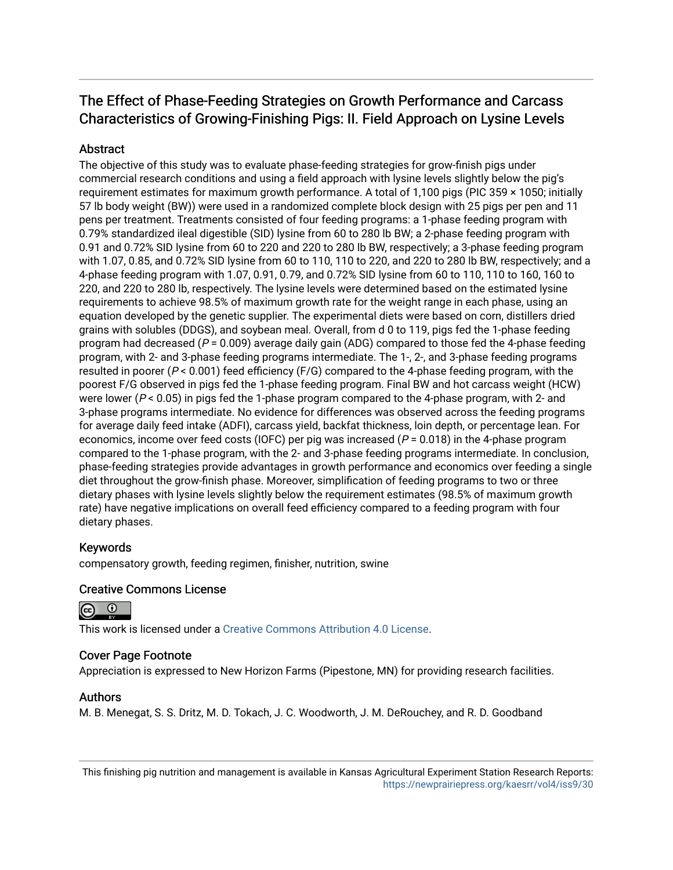# The Effect of Phase-Feeding Strategies on Growth Performance and Carcass Characteristics of Growing-Finishing Pigs: II. Field Approach on Lysine Levels

# **Abstract**

The objective of this study was to evaluate phase-feeding strategies for grow-finish pigs under commercial research conditions and using a field approach with lysine levels slightly below the pig's requirement estimates for maximum growth performance. A total of 1,100 pigs (PIC 359 × 1050; initially 57 lb body weight (BW)) were used in a randomized complete block design with 25 pigs per pen and 11 pens per treatment. Treatments consisted of four feeding programs: a 1-phase feeding program with 0.79% standardized ileal digestible (SID) lysine from 60 to 280 lb BW; a 2-phase feeding program with 0.91 and 0.72% SID lysine from 60 to 220 and 220 to 280 lb BW, respectively; a 3-phase feeding program with 1.07, 0.85, and 0.72% SID lysine from 60 to 110, 110 to 220, and 220 to 280 lb BW, respectively; and a 4-phase feeding program with 1.07, 0.91, 0.79, and 0.72% SID lysine from 60 to 110, 110 to 160, 160 to 220, and 220 to 280 lb, respectively. The lysine levels were determined based on the estimated lysine requirements to achieve 98.5% of maximum growth rate for the weight range in each phase, using an equation developed by the genetic supplier. The experimental diets were based on corn, distillers dried grains with solubles (DDGS), and soybean meal. Overall, from d 0 to 119, pigs fed the 1-phase feeding program had decreased ( $P = 0.009$ ) average daily gain (ADG) compared to those fed the 4-phase feeding program, with 2- and 3-phase feeding programs intermediate. The 1-, 2-, and 3-phase feeding programs resulted in poorer ( $P < 0.001$ ) feed efficiency ( $F/G$ ) compared to the 4-phase feeding program, with the poorest F/G observed in pigs fed the 1-phase feeding program. Final BW and hot carcass weight (HCW) were lower ( $P < 0.05$ ) in pigs fed the 1-phase program compared to the 4-phase program, with 2- and 3-phase programs intermediate. No evidence for differences was observed across the feeding programs for average daily feed intake (ADFI), carcass yield, backfat thickness, loin depth, or percentage lean. For economics, income over feed costs (IOFC) per pig was increased ( $P = 0.018$ ) in the 4-phase program compared to the 1-phase program, with the 2- and 3-phase feeding programs intermediate. In conclusion, phase-feeding strategies provide advantages in growth performance and economics over feeding a single diet throughout the grow-finish phase. Moreover, simplification of feeding programs to two or three dietary phases with lysine levels slightly below the requirement estimates (98.5% of maximum growth rate) have negative implications on overall feed efficiency compared to a feeding program with four dietary phases.

## Keywords

compensatory growth, feeding regimen, finisher, nutrition, swine

## Creative Commons License



This work is licensed under a [Creative Commons Attribution 4.0 License](https://creativecommons.org/licenses/by/4.0/).

## Cover Page Footnote

Appreciation is expressed to New Horizon Farms (Pipestone, MN) for providing research facilities.

### Authors

M. B. Menegat, S. S. Dritz, M. D. Tokach, J. C. Woodworth, J. M. DeRouchey, and R. D. Goodband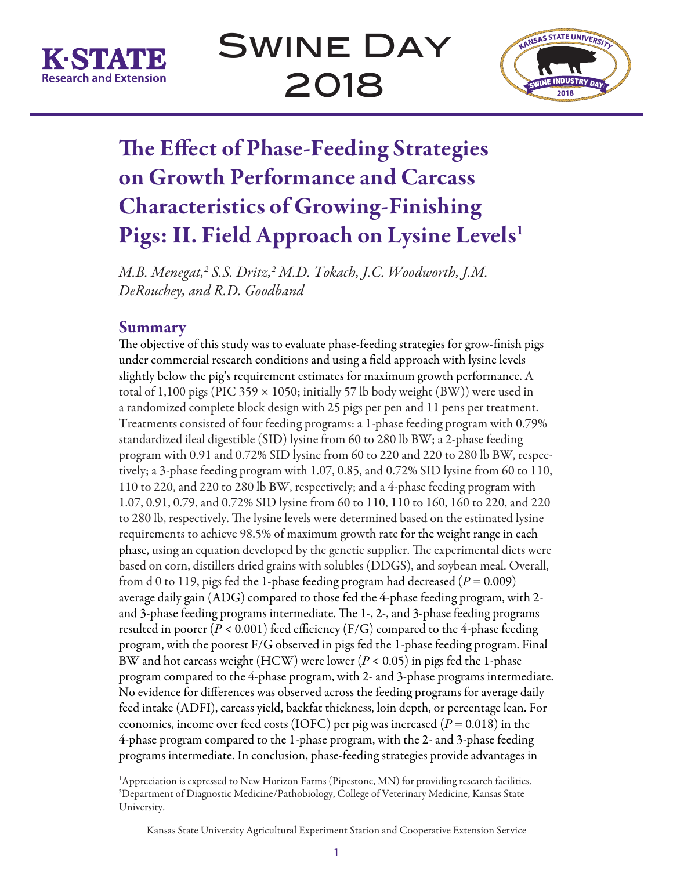



# The Effect of Phase-Feeding Strategies on Growth Performance and Carcass Characteristics of Growing-Finishing Pigs: II. Field Approach on Lysine Levels<sup>1</sup>

*M.B. Menegat,2 S.S. Dritz,2 M.D. Tokach, J.C. Woodworth, J.M. DeRouchey, and R.D. Goodband*

# Summary

The objective of this study was to evaluate phase-feeding strategies for grow-finish pigs under commercial research conditions and using a field approach with lysine levels slightly below the pig's requirement estimates for maximum growth performance. A total of 1,100 pigs (PIC 359  $\times$  1050; initially 57 lb body weight (BW)) were used in a randomized complete block design with 25 pigs per pen and 11 pens per treatment. Treatments consisted of four feeding programs: a 1-phase feeding program with 0.79% standardized ileal digestible (SID) lysine from 60 to 280 lb BW; a 2-phase feeding program with 0.91 and 0.72% SID lysine from 60 to 220 and 220 to 280 lb BW, respectively; a 3-phase feeding program with 1.07, 0.85, and 0.72% SID lysine from 60 to 110, 110 to 220, and 220 to 280 lb BW, respectively; and a 4-phase feeding program with 1.07, 0.91, 0.79, and 0.72% SID lysine from 60 to 110, 110 to 160, 160 to 220, and 220 to 280 lb, respectively. The lysine levels were determined based on the estimated lysine requirements to achieve 98.5% of maximum growth rate for the weight range in each phase, using an equation developed by the genetic supplier. The experimental diets were based on corn, distillers dried grains with solubles (DDGS), and soybean meal. Overall, from d 0 to 119, pigs fed the 1-phase feeding program had decreased ( $P = 0.009$ ) average daily gain (ADG) compared to those fed the 4-phase feeding program, with 2 and 3-phase feeding programs intermediate. The 1-, 2-, and 3-phase feeding programs resulted in poorer  $(P < 0.001)$  feed efficiency ( $F/G$ ) compared to the 4-phase feeding program, with the poorest F/G observed in pigs fed the 1-phase feeding program. Final BW and hot carcass weight (HCW) were lower (*P* < 0.05) in pigs fed the 1-phase program compared to the 4-phase program, with 2- and 3-phase programs intermediate. No evidence for differences was observed across the feeding programs for average daily feed intake (ADFI), carcass yield, backfat thickness, loin depth, or percentage lean. For economics, income over feed costs (IOFC) per pig was increased (*P* = 0.018) in the 4-phase program compared to the 1-phase program, with the 2- and 3-phase feeding programs intermediate. In conclusion, phase-feeding strategies provide advantages in

<sup>&</sup>lt;sup>1</sup>Appreciation is expressed to New Horizon Farms (Pipestone, MN) for providing research facilities. 2 Department of Diagnostic Medicine/Pathobiology, College of Veterinary Medicine, Kansas State University.

Kansas State University Agricultural Experiment Station and Cooperative Extension Service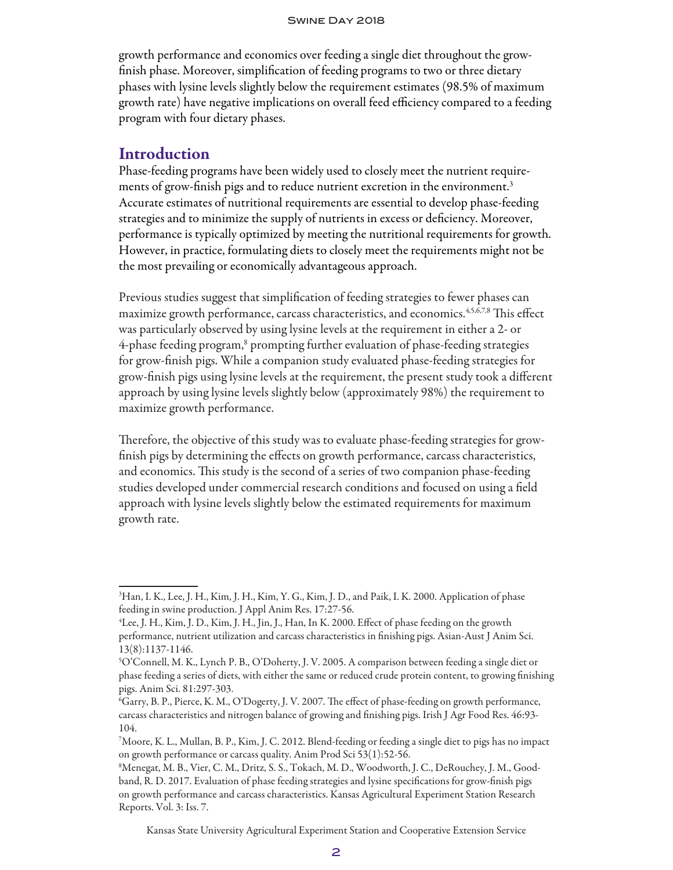growth performance and economics over feeding a single diet throughout the growfinish phase. Moreover, simplification of feeding programs to two or three dietary phases with lysine levels slightly below the requirement estimates (98.5% of maximum growth rate) have negative implications on overall feed efficiency compared to a feeding program with four dietary phases.

## **Introduction**

Phase-feeding programs have been widely used to closely meet the nutrient requirements of grow-finish pigs and to reduce nutrient excretion in the environment.<sup>3</sup> Accurate estimates of nutritional requirements are essential to develop phase-feeding strategies and to minimize the supply of nutrients in excess or deficiency. Moreover, performance is typically optimized by meeting the nutritional requirements for growth. However, in practice, formulating diets to closely meet the requirements might not be the most prevailing or economically advantageous approach.

Previous studies suggest that simplification of feeding strategies to fewer phases can maximize growth performance, carcass characteristics, and economics.4,5,6,7,8 This effect was particularly observed by using lysine levels at the requirement in either a 2- or 4-phase feeding program,<sup>8</sup> prompting further evaluation of phase-feeding strategies for grow-finish pigs. While a companion study evaluated phase-feeding strategies for grow-finish pigs using lysine levels at the requirement, the present study took a different approach by using lysine levels slightly below (approximately 98%) the requirement to maximize growth performance.

Therefore, the objective of this study was to evaluate phase-feeding strategies for growfinish pigs by determining the effects on growth performance, carcass characteristics, and economics. This study is the second of a series of two companion phase-feeding studies developed under commercial research conditions and focused on using a field approach with lysine levels slightly below the estimated requirements for maximum growth rate.

Kansas State University Agricultural Experiment Station and Cooperative Extension Service

<sup>&</sup>lt;sup>3</sup>Han, I. K., Lee, J. H., Kim, J. H., Kim, Y. G., Kim, J. D., and Paik, I. K. 2000. Application of phase feeding in swine production. J Appl Anim Res. 17:27-56.

<sup>4</sup> Lee, J. H., Kim, J. D., Kim, J. H., Jin, J., Han, In K. 2000. Effect of phase feeding on the growth performance, nutrient utilization and carcass characteristics in finishing pigs. Asian-Aust J Anim Sci. 13(8):1137-1146.

<sup>5</sup> O'Connell, M. K., Lynch P. B., O'Doherty, J. V. 2005. A comparison between feeding a single diet or phase feeding a series of diets, with either the same or reduced crude protein content, to growing finishing pigs. Anim Sci. 81:297-303.

<sup>6</sup> Garry, B. P., Pierce, K. M., O'Dogerty, J. V. 2007. The effect of phase-feeding on growth performance, carcass characteristics and nitrogen balance of growing and finishing pigs. Irish J Agr Food Res. 46:93- 104.

<sup>7</sup> Moore, K. L., Mullan, B. P., Kim, J. C. 2012. Blend-feeding or feeding a single diet to pigs has no impact on growth performance or carcass quality. Anim Prod Sci 53(1):52-56.

<sup>8</sup> Menegat, M. B., Vier, C. M., Dritz, S. S., Tokach, M. D., Woodworth, J. C., DeRouchey, J. M., Goodband, R. D. 2017. Evaluation of phase feeding strategies and lysine specifications for grow-finish pigs on growth performance and carcass characteristics. Kansas Agricultural Experiment Station Research Reports. Vol. 3: Iss. 7.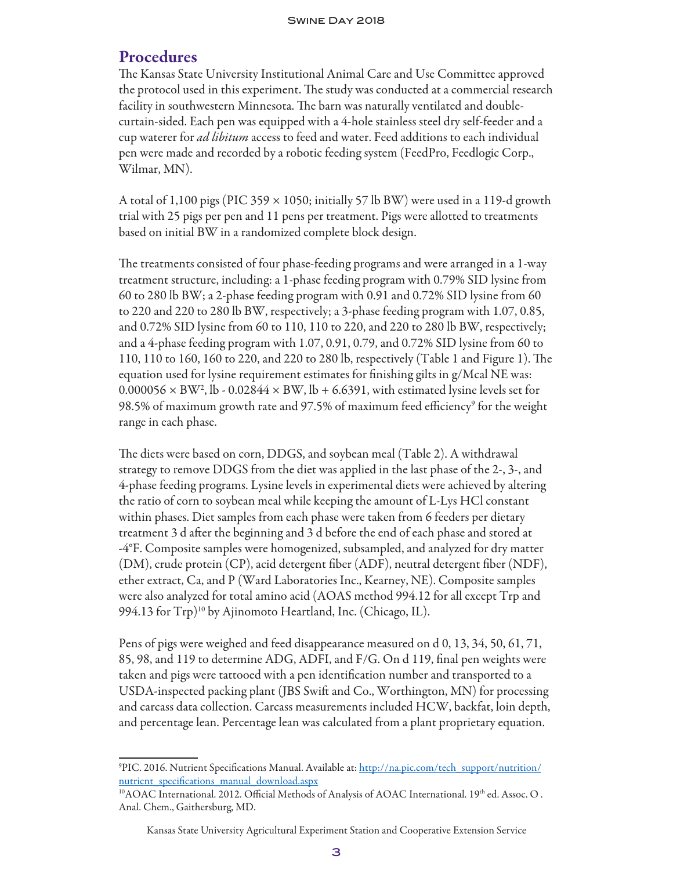# Procedures

The Kansas State University Institutional Animal Care and Use Committee approved the protocol used in this experiment. The study was conducted at a commercial research facility in southwestern Minnesota. The barn was naturally ventilated and doublecurtain-sided. Each pen was equipped with a 4-hole stainless steel dry self-feeder and a cup waterer for *ad libitum* access to feed and water. Feed additions to each individual pen were made and recorded by a robotic feeding system (FeedPro, Feedlogic Corp., Wilmar, MN).

A total of 1,100 pigs (PIC 359  $\times$  1050; initially 57 lb BW) were used in a 119-d growth trial with 25 pigs per pen and 11 pens per treatment. Pigs were allotted to treatments based on initial BW in a randomized complete block design.

The treatments consisted of four phase-feeding programs and were arranged in a 1-way treatment structure, including: a 1-phase feeding program with 0.79% SID lysine from 60 to 280 lb BW; a 2-phase feeding program with 0.91 and 0.72% SID lysine from 60 to 220 and 220 to 280 lb BW, respectively; a 3-phase feeding program with 1.07, 0.85, and 0.72% SID lysine from 60 to 110, 110 to 220, and 220 to 280 lb BW, respectively; and a 4-phase feeding program with 1.07, 0.91, 0.79, and 0.72% SID lysine from 60 to 110, 110 to 160, 160 to 220, and 220 to 280 lb, respectively (Table 1 and Figure 1). The equation used for lysine requirement estimates for finishing gilts in g/Mcal NE was:  $0.000056 \times BW^2$ , lb -  $0.02844 \times BW$ , lb + 6.6391, with estimated lysine levels set for 98.5% of maximum growth rate and 97.5% of maximum feed efficiency<sup>9</sup> for the weight range in each phase.

The diets were based on corn, DDGS, and soybean meal (Table 2). A withdrawal strategy to remove DDGS from the diet was applied in the last phase of the 2-, 3-, and 4-phase feeding programs. Lysine levels in experimental diets were achieved by altering the ratio of corn to soybean meal while keeping the amount of L-Lys HCl constant within phases. Diet samples from each phase were taken from 6 feeders per dietary treatment 3 d after the beginning and 3 d before the end of each phase and stored at -4°F. Composite samples were homogenized, subsampled, and analyzed for dry matter (DM), crude protein (CP), acid detergent fiber (ADF), neutral detergent fiber (NDF), ether extract, Ca, and P (Ward Laboratories Inc., Kearney, NE). Composite samples were also analyzed for total amino acid (AOAS method 994.12 for all except Trp and 994.13 for  $Trp)$ <sup>10</sup> by Ajinomoto Heartland, Inc. (Chicago, IL).

Pens of pigs were weighed and feed disappearance measured on d 0, 13, 34, 50, 61, 71, 85, 98, and 119 to determine ADG, ADFI, and F/G. On d 119, final pen weights were taken and pigs were tattooed with a pen identification number and transported to a USDA-inspected packing plant (JBS Swift and Co., Worthington, MN) for processing and carcass data collection. Carcass measurements included HCW, backfat, loin depth, and percentage lean. Percentage lean was calculated from a plant proprietary equation.

<sup>9</sup> PIC. 2016. Nutrient Specifications Manual. Available at: http://na.pic.com/tech\_support/nutrition/ nutrient\_specifications\_manual\_download.aspx

 $^{10}$ AOAC International. 2012. Official Methods of Analysis of AOAC International. 19th ed. Assoc. O . Anal. Chem., Gaithersburg, MD.

Kansas State University Agricultural Experiment Station and Cooperative Extension Service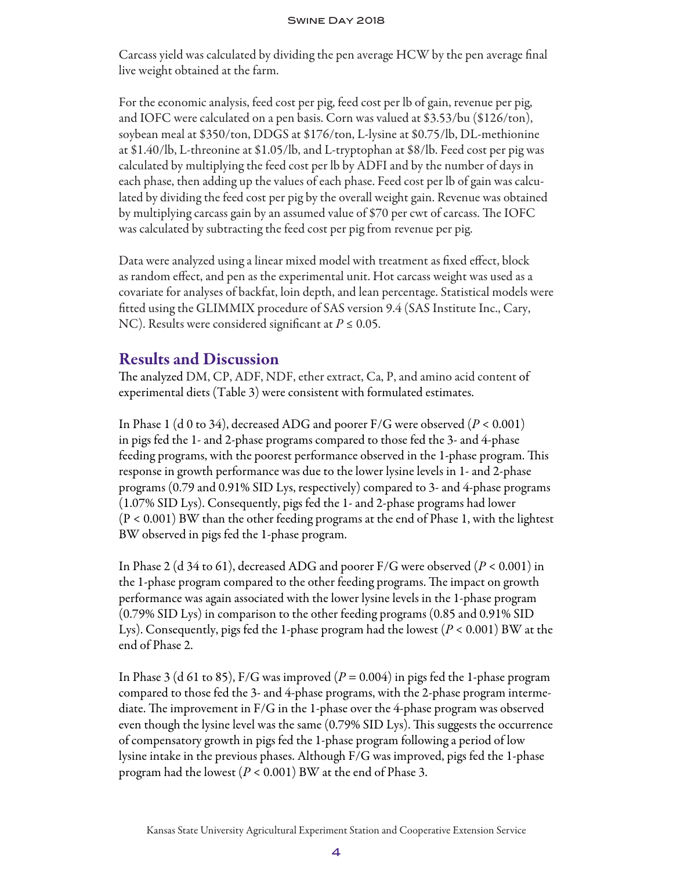Carcass yield was calculated by dividing the pen average HCW by the pen average final live weight obtained at the farm.

For the economic analysis, feed cost per pig, feed cost per lb of gain, revenue per pig, and IOFC were calculated on a pen basis. Corn was valued at \$3.53/bu (\$126/ton), soybean meal at \$350/ton, DDGS at \$176/ton, L-lysine at \$0.75/lb, DL-methionine at \$1.40/lb, L-threonine at \$1.05/lb, and L-tryptophan at \$8/lb. Feed cost per pig was calculated by multiplying the feed cost per lb by ADFI and by the number of days in each phase, then adding up the values of each phase. Feed cost per lb of gain was calculated by dividing the feed cost per pig by the overall weight gain. Revenue was obtained by multiplying carcass gain by an assumed value of \$70 per cwt of carcass. The IOFC was calculated by subtracting the feed cost per pig from revenue per pig.

Data were analyzed using a linear mixed model with treatment as fixed effect, block as random effect, and pen as the experimental unit. Hot carcass weight was used as a covariate for analyses of backfat, loin depth, and lean percentage. Statistical models were fitted using the GLIMMIX procedure of SAS version 9.4 (SAS Institute Inc., Cary, NC). Results were considered significant at  $P \leq 0.05$ .

# Results and Discussion

The analyzed DM, CP, ADF, NDF, ether extract, Ca, P, and amino acid content of experimental diets (Table 3) were consistent with formulated estimates.

In Phase 1 (d 0 to 34), decreased ADG and poorer F/G were observed (*P* < 0.001) in pigs fed the 1- and 2-phase programs compared to those fed the 3- and 4-phase feeding programs, with the poorest performance observed in the 1-phase program. This response in growth performance was due to the lower lysine levels in 1- and 2-phase programs (0.79 and 0.91% SID Lys, respectively) compared to 3- and 4-phase programs (1.07% SID Lys). Consequently, pigs fed the 1- and 2-phase programs had lower (P < 0.001) BW than the other feeding programs at the end of Phase 1, with the lightest BW observed in pigs fed the 1-phase program.

In Phase 2 (d 34 to 61), decreased ADG and poorer F/G were observed (*P* < 0.001) in the 1-phase program compared to the other feeding programs. The impact on growth performance was again associated with the lower lysine levels in the 1-phase program (0.79% SID Lys) in comparison to the other feeding programs (0.85 and 0.91% SID Lys). Consequently, pigs fed the 1-phase program had the lowest (*P* < 0.001) BW at the end of Phase 2.

In Phase 3 (d 61 to 85), F/G was improved  $(P = 0.004)$  in pigs fed the 1-phase program compared to those fed the 3- and 4-phase programs, with the 2-phase program intermediate. The improvement in F/G in the 1-phase over the 4-phase program was observed even though the lysine level was the same (0.79% SID Lys). This suggests the occurrence of compensatory growth in pigs fed the 1-phase program following a period of low lysine intake in the previous phases. Although F/G was improved, pigs fed the 1-phase program had the lowest  $(P < 0.001)$  BW at the end of Phase 3.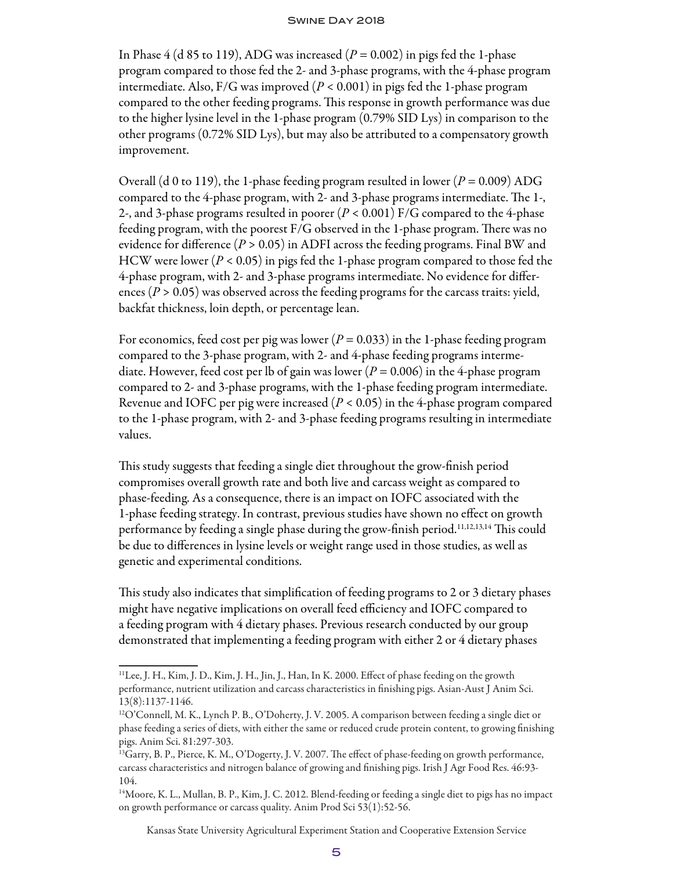In Phase  $4$  (d 85 to 119), ADG was increased ( $P = 0.002$ ) in pigs fed the 1-phase program compared to those fed the 2- and 3-phase programs, with the 4-phase program intermediate. Also, F/G was improved (*P* < 0.001) in pigs fed the 1-phase program compared to the other feeding programs. This response in growth performance was due to the higher lysine level in the 1-phase program (0.79% SID Lys) in comparison to the other programs (0.72% SID Lys), but may also be attributed to a compensatory growth improvement.

Overall (d 0 to 119), the 1-phase feeding program resulted in lower  $(P = 0.009)$  ADG compared to the 4-phase program, with 2- and 3-phase programs intermediate. The 1-, 2-, and 3-phase programs resulted in poorer (*P* < 0.001) F/G compared to the 4-phase feeding program, with the poorest F/G observed in the 1-phase program. There was no evidence for difference (*P* > 0.05) in ADFI across the feeding programs. Final BW and HCW were lower (*P* < 0.05) in pigs fed the 1-phase program compared to those fed the 4-phase program, with 2- and 3-phase programs intermediate. No evidence for differences (*P* > 0.05) was observed across the feeding programs for the carcass traits: yield, backfat thickness, loin depth, or percentage lean.

For economics, feed cost per pig was lower ( $P = 0.033$ ) in the 1-phase feeding program compared to the 3-phase program, with 2- and 4-phase feeding programs intermediate. However, feed cost per lb of gain was lower ( $P = 0.006$ ) in the 4-phase program compared to 2- and 3-phase programs, with the 1-phase feeding program intermediate. Revenue and IOFC per pig were increased (*P* < 0.05) in the 4-phase program compared to the 1-phase program, with 2- and 3-phase feeding programs resulting in intermediate values.

This study suggests that feeding a single diet throughout the grow-finish period compromises overall growth rate and both live and carcass weight as compared to phase-feeding. As a consequence, there is an impact on IOFC associated with the 1-phase feeding strategy. In contrast, previous studies have shown no effect on growth performance by feeding a single phase during the grow-finish period.11,12,13,14 This could be due to differences in lysine levels or weight range used in those studies, as well as genetic and experimental conditions.

This study also indicates that simplification of feeding programs to 2 or 3 dietary phases might have negative implications on overall feed efficiency and IOFC compared to a feeding program with 4 dietary phases. Previous research conducted by our group demonstrated that implementing a feeding program with either 2 or 4 dietary phases

Kansas State University Agricultural Experiment Station and Cooperative Extension Service

<sup>11</sup>Lee, J. H., Kim, J. D., Kim, J. H., Jin, J., Han, In K. 2000. Effect of phase feeding on the growth performance, nutrient utilization and carcass characteristics in finishing pigs. Asian-Aust J Anim Sci. 13(8):1137-1146.

 $^{12}$ O'Connell, M. K., Lynch P. B., O'Doherty, J. V. 2005. A comparison between feeding a single diet or phase feeding a series of diets, with either the same or reduced crude protein content, to growing finishing pigs. Anim Sci. 81:297-303.

<sup>&</sup>lt;sup>13</sup>Garry, B. P., Pierce, K. M., O'Dogerty, J. V. 2007. The effect of phase-feeding on growth performance, carcass characteristics and nitrogen balance of growing and finishing pigs. Irish J Agr Food Res. 46:93- 104.

<sup>14</sup>Moore, K. L., Mullan, B. P., Kim, J. C. 2012. Blend-feeding or feeding a single diet to pigs has no impact on growth performance or carcass quality. Anim Prod Sci 53(1):52-56.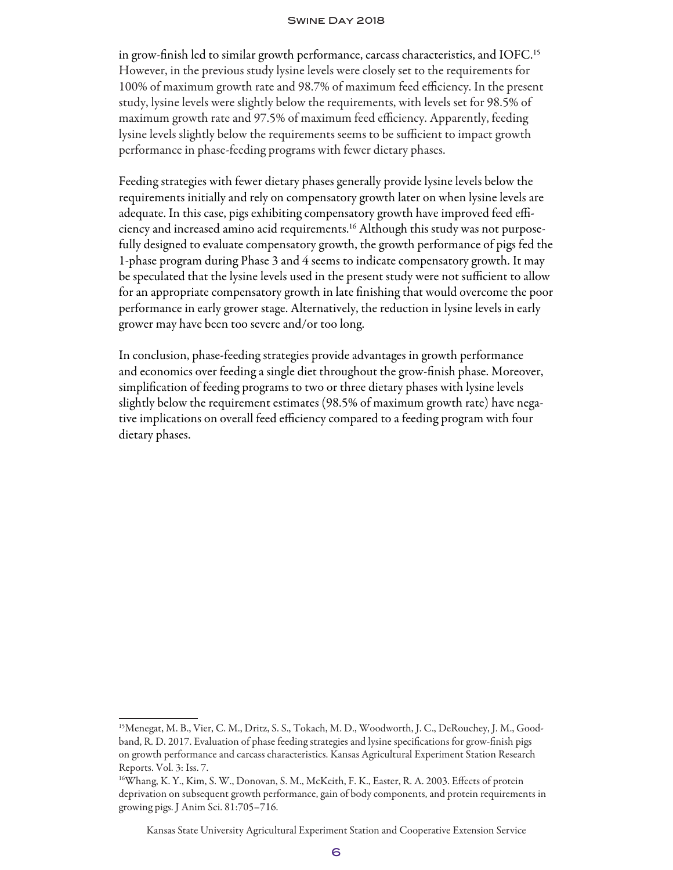in grow-finish led to similar growth performance, carcass characteristics, and IOFC.15 However, in the previous study lysine levels were closely set to the requirements for 100% of maximum growth rate and 98.7% of maximum feed efficiency. In the present study, lysine levels were slightly below the requirements, with levels set for 98.5% of maximum growth rate and 97.5% of maximum feed efficiency. Apparently, feeding lysine levels slightly below the requirements seems to be sufficient to impact growth performance in phase-feeding programs with fewer dietary phases.

Feeding strategies with fewer dietary phases generally provide lysine levels below the requirements initially and rely on compensatory growth later on when lysine levels are adequate. In this case, pigs exhibiting compensatory growth have improved feed efficiency and increased amino acid requirements.16 Although this study was not purposefully designed to evaluate compensatory growth, the growth performance of pigs fed the 1-phase program during Phase 3 and 4 seems to indicate compensatory growth. It may be speculated that the lysine levels used in the present study were not sufficient to allow for an appropriate compensatory growth in late finishing that would overcome the poor performance in early grower stage. Alternatively, the reduction in lysine levels in early grower may have been too severe and/or too long.

In conclusion, phase-feeding strategies provide advantages in growth performance and economics over feeding a single diet throughout the grow-finish phase. Moreover, simplification of feeding programs to two or three dietary phases with lysine levels slightly below the requirement estimates (98.5% of maximum growth rate) have negative implications on overall feed efficiency compared to a feeding program with four dietary phases.

Kansas State University Agricultural Experiment Station and Cooperative Extension Service

<sup>15</sup>Menegat, M. B., Vier, C. M., Dritz, S. S., Tokach, M. D., Woodworth, J. C., DeRouchey, J. M., Goodband, R. D. 2017. Evaluation of phase feeding strategies and lysine specifications for grow-finish pigs on growth performance and carcass characteristics. Kansas Agricultural Experiment Station Research Reports. Vol. 3: Iss. 7.

<sup>16</sup>Whang, K. Y., Kim, S. W., Donovan, S. M., McKeith, F. K., Easter, R. A. 2003. Effects of protein deprivation on subsequent growth performance, gain of body components, and protein requirements in growing pigs. J Anim Sci. 81:705–716.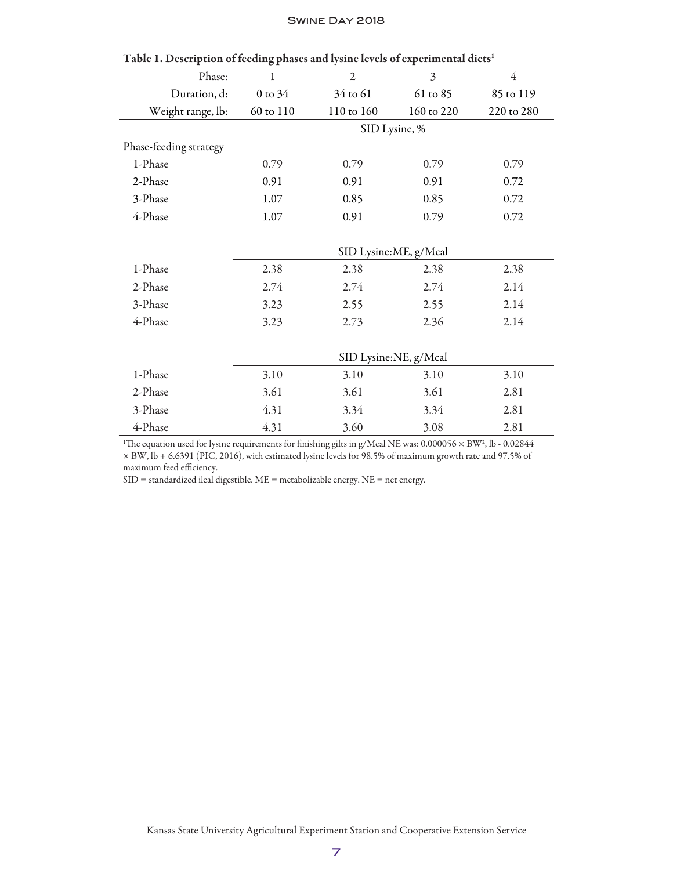| Table 1. Description of feeding phases and tysine levels of experimental dicts |             |                       |                       |                |
|--------------------------------------------------------------------------------|-------------|-----------------------|-----------------------|----------------|
| Phase:                                                                         | 1           | $\overline{2}$        | $\overline{3}$        | $\overline{4}$ |
| Duration, d:                                                                   | $0$ to $34$ | 34 to 61              | 61 to 85              | 85 to 119      |
| Weight range, lb:                                                              | 60 to 110   | 110 to 160            | 160 to 220            | 220 to 280     |
|                                                                                |             | SID Lysine, %         |                       |                |
| Phase-feeding strategy                                                         |             |                       |                       |                |
| 1-Phase                                                                        | 0.79        | 0.79                  | 0.79                  | 0.79           |
| 2-Phase                                                                        | 0.91        | 0.91                  | 0.91                  | 0.72           |
| 3-Phase                                                                        | 1.07        | 0.85                  | 0.85                  | 0.72           |
| 4-Phase                                                                        | 1.07        | 0.91                  | 0.79                  | 0.72           |
|                                                                                |             |                       |                       |                |
|                                                                                |             |                       | SID Lysine:ME, g/Mcal |                |
| 1-Phase                                                                        | 2.38        | 2.38                  | 2.38                  | 2.38           |
| 2-Phase                                                                        | 2.74        | 2.74                  | 2.74                  | 2.14           |
| 3-Phase                                                                        | 3.23        | 2.55                  | 2.55                  | 2.14           |
| 4-Phase                                                                        | 3.23        | 2.73                  | 2.36                  | 2.14           |
|                                                                                |             |                       |                       |                |
|                                                                                |             | SID Lysine:NE, g/Mcal |                       |                |
| 1-Phase                                                                        | 3.10        | 3.10                  | 3.10                  | 3.10           |
| 2-Phase                                                                        | 3.61        | 3.61                  | 3.61                  | 2.81           |
| 3-Phase                                                                        | 4.31        | 3.34                  | 3.34                  | 2.81           |
| 4-Phase                                                                        | 4.31        | 3.60                  | 3.08                  | 2.81           |
|                                                                                |             |                       |                       |                |

Table 1. Description of feeding phases and lysine levels of experimental diets<sup>1</sup>

 $\rm ^1The$  equation used for lysine requirements for finishing gilts in g/Mcal NE was: 0.000056  $\times$  BW<sup>2</sup>, lb - 0.02844 × BW, lb + 6.6391 (PIC, 2016), with estimated lysine levels for 98.5% of maximum growth rate and 97.5% of maximum feed efficiency.

SID = standardized ileal digestible. ME = metabolizable energy. NE = net energy.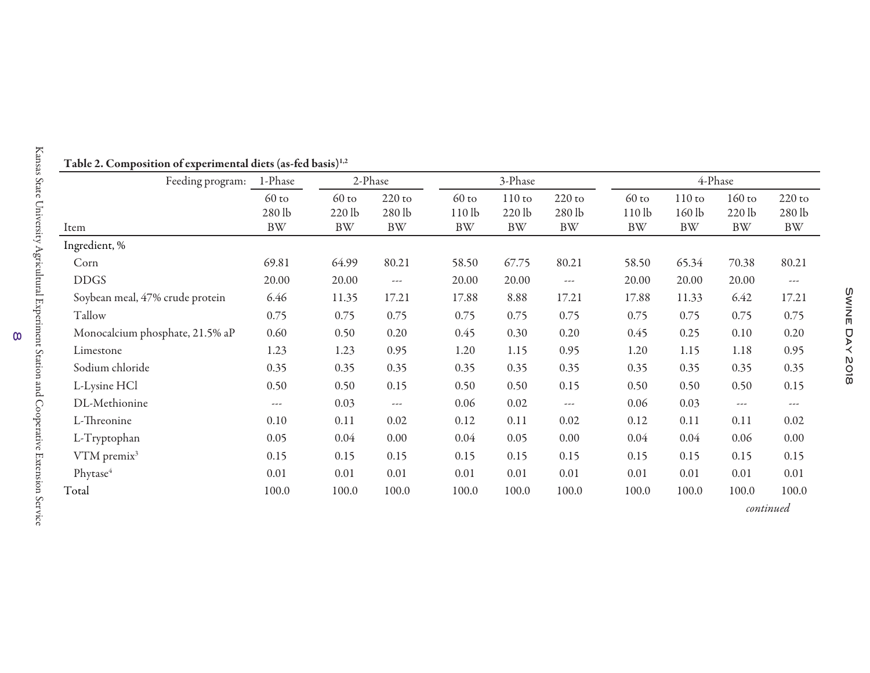| Feeding program:                | 1-Phase           | 2-Phase           |                      |                              | 3-Phase              |                      |                              | 4-Phase            |                      |                    |  |
|---------------------------------|-------------------|-------------------|----------------------|------------------------------|----------------------|----------------------|------------------------------|--------------------|----------------------|--------------------|--|
|                                 | $60$ to<br>280 lb | $60$ to<br>220 lb | $220$ to<br>280 lb   | $60$ to<br>110 <sub>lb</sub> | $110$ to<br>$220$ lb | $220$ to<br>280 lb   | $60$ to<br>110 <sub>lb</sub> | $110$ to<br>160 lb | $160$ to<br>$220$ lb | $220$ to<br>280 lb |  |
| Item                            | <b>BW</b>         | BW                | <b>BW</b>            | <b>BW</b>                    | <b>BW</b>            | <b>BW</b>            | <b>BW</b>                    | <b>BW</b>          | <b>BW</b>            | <b>BW</b>          |  |
| Ingredient, %                   |                   |                   |                      |                              |                      |                      |                              |                    |                      |                    |  |
| Corn                            | 69.81             | 64.99             | 80.21                | 58.50                        | 67.75                | 80.21                | 58.50                        | 65.34              | 70.38                | 80.21              |  |
| <b>DDGS</b>                     | 20.00             | 20.00             | $\sim$ $\sim$ $\sim$ | 20.00                        | 20.00                | $\sim$ $\sim$ $\sim$ | 20.00                        | 20.00              | 20.00                | ---                |  |
| Soybean meal, 47% crude protein | 6.46              | 11.35             | 17.21                | 17.88                        | 8.88                 | 17.21                | 17.88                        | 11.33              | 6.42                 | 17.21              |  |
| Tallow                          | 0.75              | 0.75              | 0.75                 | 0.75                         | 0.75                 | 0.75                 | 0.75                         | 0.75               | 0.75                 | 0.75               |  |
| Monocalcium phosphate, 21.5% aP | 0.60              | 0.50              | 0.20                 | 0.45                         | 0.30                 | 0.20                 | 0.45                         | 0.25               | 0.10                 | 0.20               |  |
| Limestone                       | 1.23              | 1.23              | 0.95                 | 1.20                         | 1.15                 | 0.95                 | 1.20                         | 1.15               | 1.18                 | 0.95               |  |
| Sodium chloride                 | 0.35              | 0.35              | 0.35                 | 0.35                         | 0.35                 | 0.35                 | 0.35                         | 0.35               | 0.35                 | 0.35               |  |
| L-Lysine HCl                    | 0.50              | 0.50              | 0.15                 | 0.50                         | 0.50                 | 0.15                 | 0.50                         | 0.50               | 0.50                 | 0.15               |  |
| DL-Methionine                   | ---               | 0.03              | $- -$                | 0.06                         | 0.02                 | $\cdots$             | 0.06                         | 0.03               | $\cdots$             | ---                |  |
| L-Threonine                     | 0.10              | 0.11              | 0.02                 | 0.12                         | 0.11                 | 0.02                 | 0.12                         | 0.11               | 0.11                 | 0.02               |  |
| L-Tryptophan                    | 0.05              | 0.04              | 0.00                 | 0.04                         | 0.05                 | 0.00                 | 0.04                         | 0.04               | 0.06                 | 0.00               |  |
| $VTM$ premix $3$                | 0.15              | 0.15              | 0.15                 | 0.15                         | 0.15                 | 0.15                 | 0.15                         | 0.15               | 0.15                 | 0.15               |  |
| Phytase <sup>4</sup>            | 0.01              | 0.01              | 0.01                 | 0.01                         | 0.01                 | 0.01                 | 0.01                         | 0.01               | 0.01                 | 0.01               |  |
| Total                           | 100.0             | 100.0             | 100.0                | 100.0                        | 100.0                | 100.0                | 100.0                        | 100.0              | 100.0                | 100.0              |  |

Table 2. Composition of experimental diets (as-fed basis) $^{1,2}$ 

Kansas State University Agricultural Experiment Station and Cooperative Extension Service 8

 $\infty$ 

Kansas State University Agricultural Experiment Station and Cooperative Extension Service

*continued*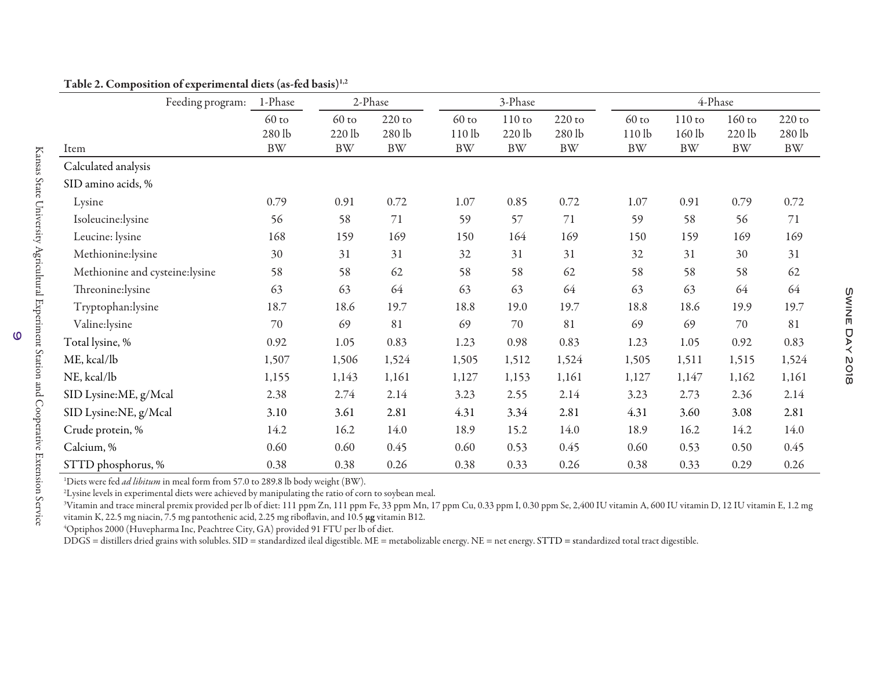| Feeding program:               | 1-Phase                       |                                | 2-Phase                        |                              | 3-Phase                           |                                |                                           | 4-Phase                         |                                 |                                |  |  |
|--------------------------------|-------------------------------|--------------------------------|--------------------------------|------------------------------|-----------------------------------|--------------------------------|-------------------------------------------|---------------------------------|---------------------------------|--------------------------------|--|--|
| Item                           | $60$ to<br>280 lb<br>$\rm BW$ | $60$ to<br>220 lb<br><b>BW</b> | $220$ to<br>280 lb<br>$\rm BW$ | $60$ to<br>110lb<br>$\rm BW$ | $110$ to<br>$220$ lb<br><b>BW</b> | $220$ to<br>280 lb<br>$\rm BW$ | $60$ to<br>110 <sub>lb</sub><br><b>BW</b> | $110$ to<br>160 lb<br><b>BW</b> | $160$ to<br>220 lb<br><b>BW</b> | $220$ to<br>280 lb<br>$\rm BW$ |  |  |
| Calculated analysis            |                               |                                |                                |                              |                                   |                                |                                           |                                 |                                 |                                |  |  |
| SID amino acids, %             |                               |                                |                                |                              |                                   |                                |                                           |                                 |                                 |                                |  |  |
| Lysine                         | 0.79                          | 0.91                           | 0.72                           | $1.07\,$                     | 0.85                              | 0.72                           | 1.07                                      | 0.91                            | 0.79                            | 0.72                           |  |  |
| Isoleucine:lysine              | 56                            | 58                             | 71                             | 59                           | 57                                | $71\,$                         | 59                                        | 58                              | 56                              | 71                             |  |  |
| Leucine: lysine                | 168                           | 159                            | 169                            | 150                          | 164                               | 169                            | 150                                       | 159                             | 169                             | 169                            |  |  |
| Methionine:lysine              | 30                            | 31                             | 31                             | 32                           | 31                                | 31                             | 32                                        | 31                              | 30                              | 31                             |  |  |
| Methionine and cysteine:lysine | 58                            | 58                             | 62                             | 58                           | 58                                | 62                             | 58                                        | 58                              | 58                              | 62                             |  |  |
| Threonine:lysine               | 63                            | 63                             | 64                             | 63                           | 63                                | 64                             | 63                                        | 63                              | 64                              | 64                             |  |  |
| Tryptophan:lysine              | 18.7                          | 18.6                           | 19.7                           | 18.8                         | 19.0                              | 19.7                           | 18.8                                      | 18.6                            | 19.9                            | 19.7                           |  |  |
| Valine:lysine                  | 70                            | 69                             | 81                             | 69                           | 70                                | 81                             | 69                                        | 69                              | 70                              | 81                             |  |  |
| Total lysine, %                | 0.92                          | 1.05                           | 0.83                           | 1.23                         | 0.98                              | 0.83                           | 1.23                                      | 1.05                            | 0.92                            | 0.83                           |  |  |
| ME, kcal/lb                    | 1,507                         | 1,506                          | 1,524                          | 1,505                        | 1,512                             | 1,524                          | 1,505                                     | 1,511                           | 1,515                           | 1,524                          |  |  |
| NE, kcal/lb                    | 1,155                         | 1,143                          | 1,161                          | 1,127                        | 1,153                             | 1,161                          | 1,127                                     | 1,147                           | 1,162                           | 1,161                          |  |  |
| SID Lysine:ME, g/Mcal          | 2.38                          | 2.74                           | 2.14                           | 3.23                         | 2.55                              | 2.14                           | 3.23                                      | 2.73                            | 2.36                            | 2.14                           |  |  |
| SID Lysine:NE, g/Mcal          | 3.10                          | 3.61                           | 2.81                           | 4.31                         | 3.34                              | 2.81                           | 4.31                                      | 3.60                            | 3.08                            | 2.81                           |  |  |
| Crude protein, %               | 14.2                          | 16.2                           | 14.0                           | 18.9                         | 15.2                              | 14.0                           | 18.9                                      | 16.2                            | 14.2                            | 14.0                           |  |  |
| Calcium, %                     | 0.60                          | 0.60                           | 0.45                           | 0.60                         | 0.53                              | 0.45                           | 0.60                                      | 0.53                            | 0.50                            | 0.45                           |  |  |
| STTD phosphorus, %             | 0.38                          | 0.38                           | 0.26                           | 0.38                         | 0.33                              | 0.26                           | 0.38                                      | 0.33                            | 0.29                            | 0.26                           |  |  |

Table 2. Composition of experimental diets (as-fed basis)<sup>1,2</sup>

<sup>1</sup>Diets were fed *ad libitum* in meal form from 57.0 to 289.8 lb body weight (BW).

<sup>2</sup>Lysine levels in experimental diets were achieved by manipulating the ratio of corn to soybean meal.

<sup>3</sup>Vitamin and trace mineral premix provided per lb of diet: 111 ppm Zn, 111 ppm Fe, 33 ppm Mn, 17 ppm Cu, 0.33 ppm I, 0.30 ppm Se, 2,400 IU vitamin A, 600 IU vitamin D, 12 IU vitamin E, 1.2 mg vitamin K, 22.5 mg niacin, 7.5 mg pantothenic acid, 2.25 mg riboflavin, and 10.5 μg vitamin B12.

4Optiphos 2000 (Huvepharma Inc, Peachtree City, GA) provided 91 FTU per lb of diet.

DDGS = distillers dried grains with solubles. SID = standardized ileal digestible. ME = metabolizable energy. NE = net energy. STTD = standardized total tract digestible.

 $\omega$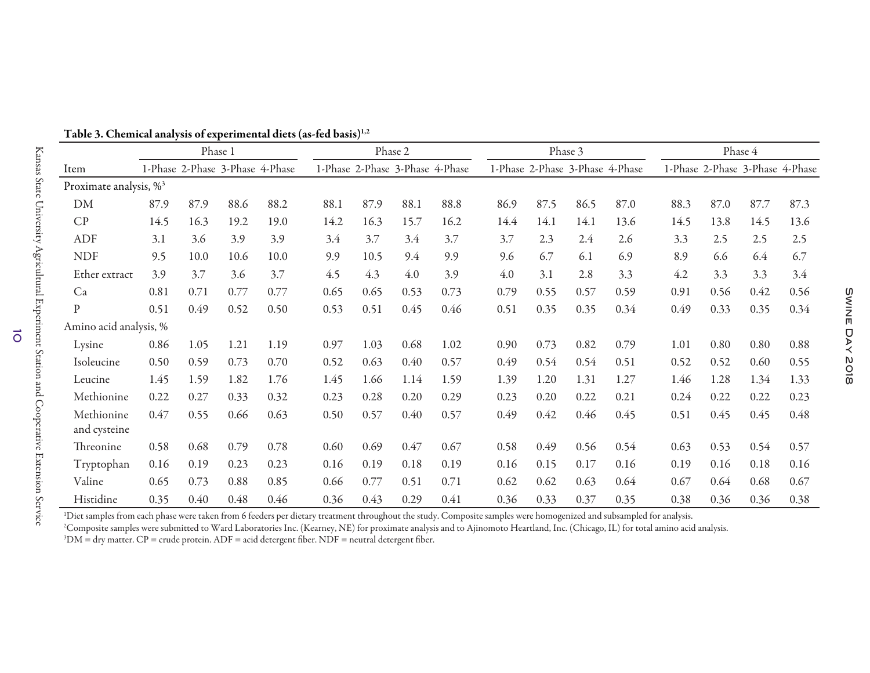|                                    |      |      | Phase 1 |                                 |      |      | Phase 2 |                                 |      |      | Phase 3 |                                 |      |                                 | Phase 4 |      |
|------------------------------------|------|------|---------|---------------------------------|------|------|---------|---------------------------------|------|------|---------|---------------------------------|------|---------------------------------|---------|------|
| Item                               |      |      |         | 1-Phase 2-Phase 3-Phase 4-Phase |      |      |         | 1-Phase 2-Phase 3-Phase 4-Phase |      |      |         | 1-Phase 2-Phase 3-Phase 4-Phase |      | 1-Phase 2-Phase 3-Phase 4-Phase |         |      |
| Proximate analysis, % <sup>3</sup> |      |      |         |                                 |      |      |         |                                 |      |      |         |                                 |      |                                 |         |      |
| DM                                 | 87.9 | 87.9 | 88.6    | 88.2                            | 88.1 | 87.9 | 88.1    | 88.8                            | 86.9 | 87.5 | 86.5    | 87.0                            | 88.3 | 87.0                            | 87.7    | 87.3 |
| CP                                 | 14.5 | 16.3 | 19.2    | 19.0                            | 14.2 | 16.3 | 15.7    | 16.2                            | 14.4 | 14.1 | 14.1    | 13.6                            | 14.5 | 13.8                            | 14.5    | 13.6 |
| ADF                                | 3.1  | 3.6  | 3.9     | 3.9                             | 3.4  | 3.7  | 3.4     | 3.7                             | 3.7  | 2.3  | 2.4     | 2.6                             | 3.3  | 2.5                             | 2.5     | 2.5  |
| <b>NDF</b>                         | 9.5  | 10.0 | 10.6    | 10.0                            | 9.9  | 10.5 | 9.4     | 9.9                             | 9.6  | 6.7  | 6.1     | 6.9                             | 8.9  | 6.6                             | 6.4     | 6.7  |
| Ether extract                      | 3.9  | 3.7  | 3.6     | 3.7                             | 4.5  | 4.3  | 4.0     | 3.9                             | 4.0  | 3.1  | 2.8     | 3.3                             | 4.2  | 3.3                             | 3.3     | 3.4  |
| Ca                                 | 0.81 | 0.71 | 0.77    | 0.77                            | 0.65 | 0.65 | 0.53    | 0.73                            | 0.79 | 0.55 | 0.57    | 0.59                            | 0.91 | 0.56                            | 0.42    | 0.56 |
| $\mathbf{P}$                       | 0.51 | 0.49 | 0.52    | 0.50                            | 0.53 | 0.51 | 0.45    | 0.46                            | 0.51 | 0.35 | 0.35    | 0.34                            | 0.49 | 0.33                            | 0.35    | 0.34 |
| Amino acid analysis, %             |      |      |         |                                 |      |      |         |                                 |      |      |         |                                 |      |                                 |         |      |
| Lysine                             | 0.86 | 1.05 | 1.21    | 1.19                            | 0.97 | 1.03 | 0.68    | 1.02                            | 0.90 | 0.73 | 0.82    | 0.79                            | 1.01 | 0.80                            | 0.80    | 0.88 |
| Isoleucine                         | 0.50 | 0.59 | 0.73    | 0.70                            | 0.52 | 0.63 | 0.40    | 0.57                            | 0.49 | 0.54 | 0.54    | 0.51                            | 0.52 | 0.52                            | 0.60    | 0.55 |
| Leucine                            | 1.45 | 1.59 | 1.82    | 1.76                            | 1.45 | 1.66 | 1.14    | 1.59                            | 1.39 | 1.20 | 1.31    | 1.27                            | 1.46 | 1.28                            | 1.34    | 1.33 |
| Methionine                         | 0.22 | 0.27 | 0.33    | 0.32                            | 0.23 | 0.28 | 0.20    | 0.29                            | 0.23 | 0.20 | 0.22    | 0.21                            | 0.24 | 0.22                            | 0.22    | 0.23 |
| Methionine<br>and cysteine         | 0.47 | 0.55 | 0.66    | 0.63                            | 0.50 | 0.57 | 0.40    | 0.57                            | 0.49 | 0.42 | 0.46    | 0.45                            | 0.51 | 0.45                            | 0.45    | 0.48 |
| Threonine                          | 0.58 | 0.68 | 0.79    | 0.78                            | 0.60 | 0.69 | 0.47    | 0.67                            | 0.58 | 0.49 | 0.56    | 0.54                            | 0.63 | 0.53                            | 0.54    | 0.57 |
| Tryptophan                         | 0.16 | 0.19 | 0.23    | 0.23                            | 0.16 | 0.19 | 0.18    | 0.19                            | 0.16 | 0.15 | 0.17    | 0.16                            | 0.19 | 0.16                            | 0.18    | 0.16 |
| Valine                             | 0.65 | 0.73 | 0.88    | 0.85                            | 0.66 | 0.77 | 0.51    | 0.71                            | 0.62 | 0.62 | 0.63    | 0.64                            | 0.67 | 0.64                            | 0.68    | 0.67 |
| Histidine                          | 0.35 | 0.40 | 0.48    | 0.46                            | 0.36 | 0.43 | 0.29    | 0.41                            | 0.36 | 0.33 | 0.37    | 0.35                            | 0.38 | 0.36                            | 0.36    | 0.38 |

Table 3. Chemical analysis of experimental diets (as-fed basis)<sup>1,2</sup>

<sup>1</sup>Diet samples from each phase were taken from 6 feeders per dietary treatment throughout the study. Composite samples were homogenized and subsampled for analysis.

<sup>2</sup>Composite samples were submitted to Ward Laboratories Inc. (Kearney, NE) for proximate analysis and to Ajinomoto Heartland, Inc. (Chicago, IL) for total amino acid analysis. 3DM = dry matter. CP = crude protein. ADF = acid detergent fiber. NDF = neutral detergent fiber.

 $\vec{o}$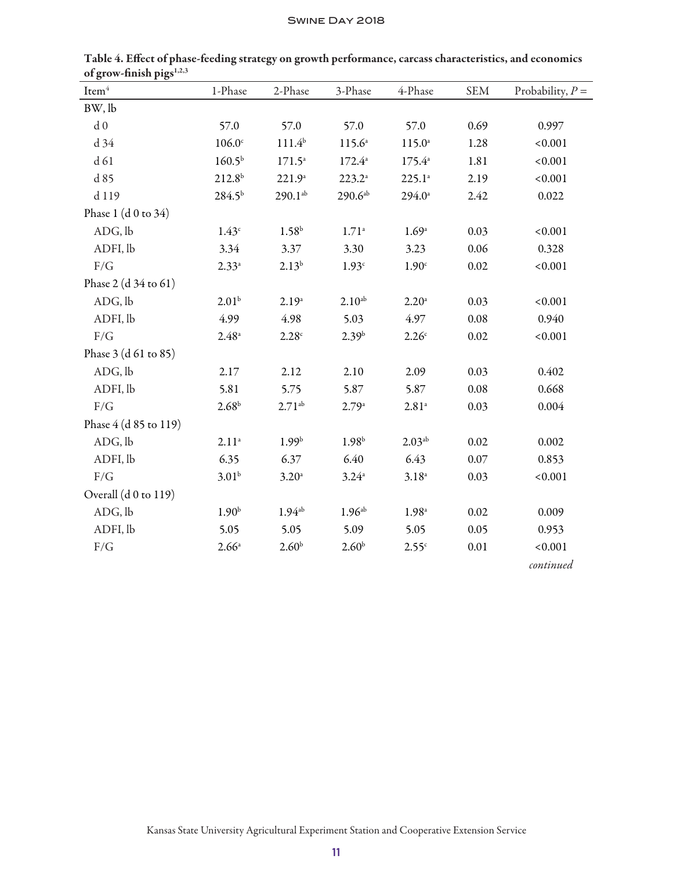| $\mathrm{Item}^4$     | 1-Phase            | 2-Phase           | 3-Phase            | 4-Phase             | <b>SEM</b> | Probability, $P =$ |
|-----------------------|--------------------|-------------------|--------------------|---------------------|------------|--------------------|
| BW, lb                |                    |                   |                    |                     |            |                    |
| ${\rm d}$ 0           | 57.0               | 57.0              | 57.0               | 57.0                | 0.69       | 0.997              |
| d 34                  | $106.0^\circ$      | $111.4^{b}$       | $115.6^{\circ}$    | $115.0^{\circ}$     | 1.28       | < 0.001            |
| d 61                  | 160.5 <sup>b</sup> | $171.5^{\circ}$   | $172.4^{\circ}$    | $175.4^{\circ}$     | 1.81       | < 0.001            |
| d 85                  | $212.8^{b}$        | $221.9^{\circ}$   | $223.2^{\circ}$    | $225.1^a$           | 2.19       | < 0.001            |
| d 119                 | $284.5^{b}$        | $290.1^{ab}$      | 290.6a             | $294.0^{\circ}$     | 2.42       | 0.022              |
| Phase 1 $(d 0 to 34)$ |                    |                   |                    |                     |            |                    |
| ADG, lb               | 1.43 <sup>c</sup>  | 1.58 <sup>b</sup> | $1.71^{\circ}$     | 1.69 <sup>a</sup>   | 0.03       | < 0.001            |
| ADFI, lb              | 3.34               | 3.37              | 3.30               | 3.23                | 0.06       | 0.328              |
| F/G                   | $2.33^{a}$         | $2.13^{b}$        | 1.93 <sup>c</sup>  | 1.90 <sup>c</sup>   | 0.02       | < 0.001            |
| Phase 2 (d 34 to 61)  |                    |                   |                    |                     |            |                    |
| ADG, lb               | 2.01 <sup>b</sup>  | $2.19^{\rm a}$    | $2.10^{ab}$        | 2.20 <sup>a</sup>   | 0.03       | < 0.001            |
| ADFI, lb              | 4.99               | 4.98              | 5.03               | 4.97                | 0.08       | 0.940              |
| F/G                   | $2.48^{\circ}$     | 2.28c             | 2.39 <sup>b</sup>  | 2.26 <sup>c</sup>   | 0.02       | < 0.001            |
| Phase 3 (d 61 to 85)  |                    |                   |                    |                     |            |                    |
| ADG, lb               | 2.17               | 2.12              | 2.10               | 2.09                | 0.03       | 0.402              |
| ADFI, lb              | 5.81               | 5.75              | 5.87               | 5.87                | 0.08       | 0.668              |
| F/G                   | 2.68 <sup>b</sup>  | $2.71^{ab}$       | 2.79a              | $2.81$ <sup>a</sup> | 0.03       | 0.004              |
| Phase 4 (d 85 to 119) |                    |                   |                    |                     |            |                    |
| ADG, lb               | $2.11^{a}$         | 1.99 <sup>b</sup> | 1.98 <sup>b</sup>  | $2.03^{ab}$         | 0.02       | 0.002              |
| ADFI, lb              | 6.35               | 6.37              | 6.40               | 6.43                | 0.07       | 0.853              |
| $\rm F/G$             | $3.01^{b}$         | 3.20 <sup>a</sup> | $3.24^{\circ}$     | $3.18^{a}$          | 0.03       | < 0.001            |
| Overall (d 0 to 119)  |                    |                   |                    |                     |            |                    |
| ADG, lb               | 1.90 <sup>b</sup>  | $1.94^{ab}$       | 1.96 <sup>ab</sup> | 1.98 <sup>a</sup>   | 0.02       | 0.009              |
| ADFI, lb              | 5.05               | 5.05              | 5.09               | 5.05                | 0.05       | 0.953              |
| F/G                   | $2.66^{\circ}$     | 2.60 <sup>b</sup> | 2.60 <sup>b</sup>  | 2.55c               | 0.01       | < 0.001            |
|                       |                    |                   |                    |                     |            | continued          |

Table 4. Effect of phase-feeding strategy on growth performance, carcass characteristics, and economics of grow-finish pigs<sup>1,2,3</sup>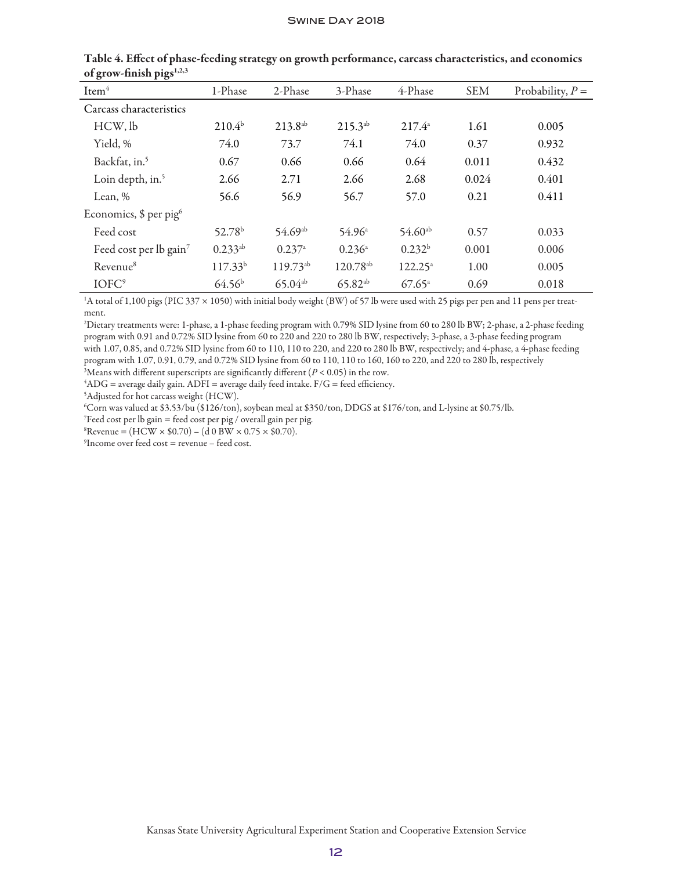| Item <sup>4</sup>                   | 1-Phase            | 2-Phase       | 3-Phase              | 4-Phase              | <b>SEM</b> | Probability, $P =$ |
|-------------------------------------|--------------------|---------------|----------------------|----------------------|------------|--------------------|
| Carcass characteristics             |                    |               |                      |                      |            |                    |
| HCW, lb                             | $210.4^{b}$        | $213.8^{ab}$  | $215.3^{ab}$         | $217.4^{\circ}$      | 1.61       | 0.005              |
| Yield, %                            | 74.0               | 73.7          | 74.1                 | 74.0                 | 0.37       | 0.932              |
| Backfat, in. <sup>5</sup>           | 0.67               | 0.66          | 0.66                 | 0.64                 | 0.011      | 0.432              |
| Loin depth, in. <sup>5</sup>        | 2.66               | 2.71          | 2.66                 | 2.68                 | 0.024      | 0.401              |
| Lean, %                             | 56.6               | 56.9          | 56.7                 | 57.0                 | 0.21       | 0.411              |
| Economics, $$$ per pig <sup>6</sup> |                    |               |                      |                      |            |                    |
| Feed cost                           | 52.78 <sup>b</sup> | $54.69^{ab}$  | 54.96 <sup>a</sup>   | $54.60^{ab}$         | 0.57       | 0.033              |
| Feed cost per lb gain <sup>7</sup>  | $0.233^{ab}$       | 0.237a        | 0.236a               | 0.232 <sup>b</sup>   | 0.001      | 0.006              |
| Revenue <sup>8</sup>                | $117.33^{b}$       | $119.73^{ab}$ | 120.78 <sup>ab</sup> | $122.25^a$           | 1.00       | 0.005              |
| IOFC <sup>9</sup>                   | 64.56 <sup>b</sup> | $65.04^{ab}$  | $65.82^{ab}$         | $67.65$ <sup>a</sup> | 0.69       | 0.018              |

Table 4. Effect of phase-feeding strategy on growth performance, carcass characteristics, and economics of grow-finish pigs $1,2,3$ 

1 A total of 1,100 pigs (PIC 337 × 1050) with initial body weight (BW) of 57 lb were used with 25 pigs per pen and 11 pens per treatment.

2 Dietary treatments were: 1-phase, a 1-phase feeding program with 0.79% SID lysine from 60 to 280 lb BW; 2-phase, a 2-phase feeding program with 0.91 and 0.72% SID lysine from 60 to 220 and 220 to 280 lb BW, respectively; 3-phase, a 3-phase feeding program with 1.07, 0.85, and 0.72% SID lysine from 60 to 110, 110 to 220, and 220 to 280 lb BW, respectively; and 4-phase, a 4-phase feeding program with 1.07, 0.91, 0.79, and 0.72% SID lysine from 60 to 110, 110 to 160, 160 to 220, and 220 to 280 lb, respectively

 $^3$ Means with different superscripts are significantly different  $(P < 0.05)$  in the row.<br> $^4$ ADG = average daily gain. ADEI = average daily feed intake. E/G = feed efficiency

 ${}^{4}$ ADG = average daily gain. ADFI = average daily feed intake. F/G = feed efficiency.

5 Adjusted for hot carcass weight (HCW).

6 Corn was valued at \$3.53/bu (\$126/ton), soybean meal at \$350/ton, DDGS at \$176/ton, and L-lysine at \$0.75/lb.

7 Feed cost per lb gain = feed cost per pig / overall gain per pig.

 $R$ Revenue = (HCW  $\times$  \$0.70) – (d 0 BW  $\times$  0.75  $\times$  \$0.70).

9 Income over feed cost = revenue – feed cost.